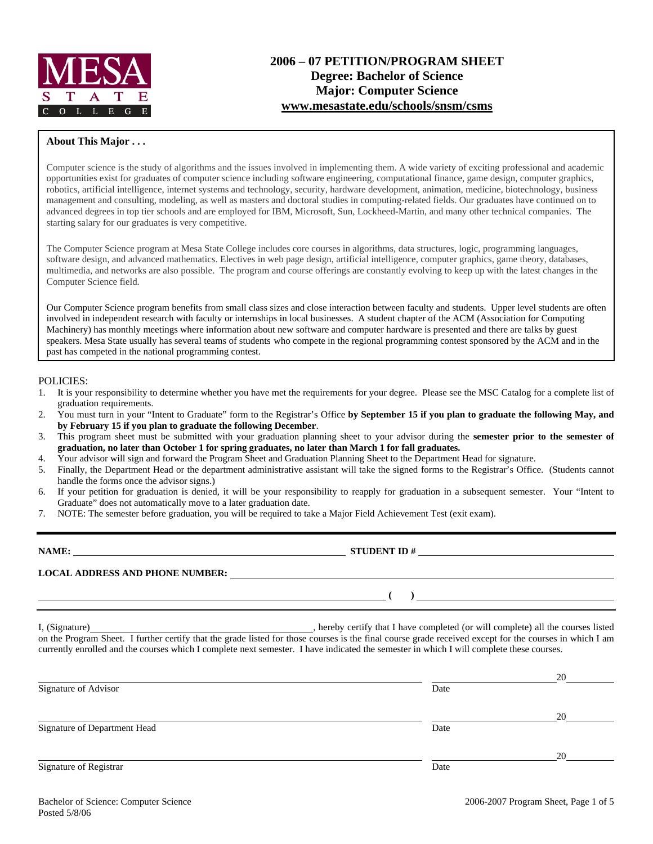

# **2006 – 07 PETITION/PROGRAM SHEET Degree: Bachelor of Science Major: Computer Science www.mesastate.edu/schools/snsm/csms**

#### **About This Major . . .**

Computer science is the study of algorithms and the issues involved in implementing them. A wide variety of exciting professional and academic opportunities exist for graduates of computer science including software engineering, computational finance, game design, computer graphics, robotics, artificial intelligence, internet systems and technology, security, hardware development, animation, medicine, biotechnology, business management and consulting, modeling, as well as masters and doctoral studies in computing-related fields. Our graduates have continued on to advanced degrees in top tier schools and are employed for IBM, Microsoft, Sun, Lockheed-Martin, and many other technical companies. The starting salary for our graduates is very competitive.

The Computer Science program at Mesa State College includes core courses in algorithms, data structures, logic, programming languages, software design, and advanced mathematics. Electives in web page design, artificial intelligence, computer graphics, game theory, databases, multimedia, and networks are also possible. The program and course offerings are constantly evolving to keep up with the latest changes in the Computer Science field.

Our Computer Science program benefits from small class sizes and close interaction between faculty and students. Upper level students are often involved in independent research with faculty or internships in local businesses. A student chapter of the ACM (Association for Computing Machinery) has monthly meetings where information about new software and computer hardware is presented and there are talks by guest speakers. Mesa State usually has several teams of students who compete in the regional programming contest sponsored by the ACM and in the past has competed in the national programming contest.

#### POLICIES:

- 1. It is your responsibility to determine whether you have met the requirements for your degree. Please see the MSC Catalog for a complete list of graduation requirements.
- 2. You must turn in your "Intent to Graduate" form to the Registrar's Office **by September 15 if you plan to graduate the following May, and by February 15 if you plan to graduate the following December**.
- 3. This program sheet must be submitted with your graduation planning sheet to your advisor during the **semester prior to the semester of graduation, no later than October 1 for spring graduates, no later than March 1 for fall graduates.**
- 4. Your advisor will sign and forward the Program Sheet and Graduation Planning Sheet to the Department Head for signature.
- 5. Finally, the Department Head or the department administrative assistant will take the signed forms to the Registrar's Office. (Students cannot handle the forms once the advisor signs.)
- 6. If your petition for graduation is denied, it will be your responsibility to reapply for graduation in a subsequent semester. Your "Intent to Graduate" does not automatically move to a later graduation date.
- 7. NOTE: The semester before graduation, you will be required to take a Major Field Achievement Test (exit exam).

**NAME: STUDENT ID # LOCAL ADDRESS AND PHONE NUMBER: ( )** 

I, (Signature) , hereby certify that I have completed (or will complete) all the courses listed on the Program Sheet. I further certify that the grade listed for those courses is the final course grade received except for the courses in which I am currently enrolled and the courses which I complete next semester. I have indicated the semester in which I will complete these courses.

|                              |      | 20 |
|------------------------------|------|----|
| Signature of Advisor         | Date |    |
|                              |      | 20 |
| Signature of Department Head | Date |    |
|                              |      | 20 |
| Signature of Registrar       | Date |    |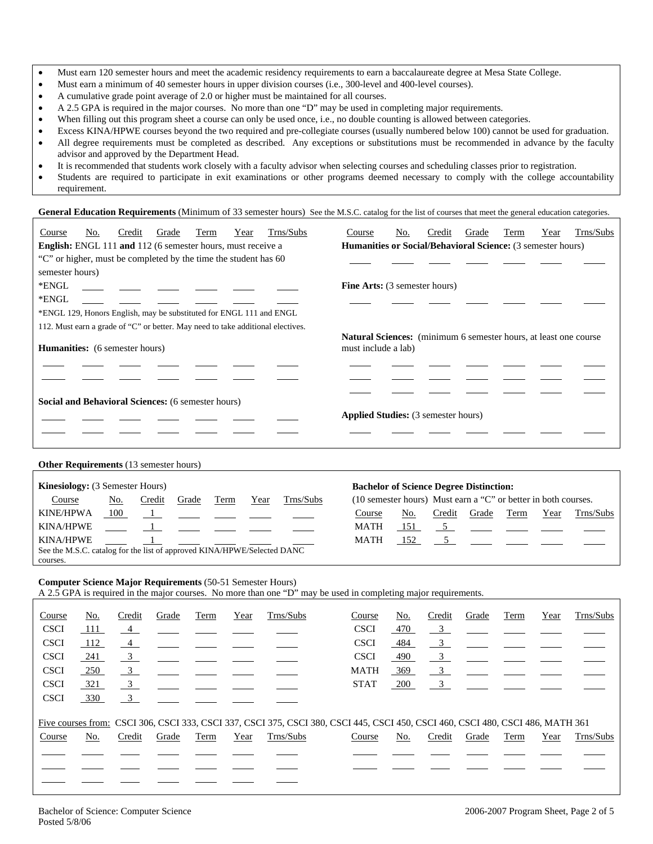- Must earn 120 semester hours and meet the academic residency requirements to earn a baccalaureate degree at Mesa State College.
- Must earn a minimum of 40 semester hours in upper division courses (i.e., 300-level and 400-level courses).
- A cumulative grade point average of 2.0 or higher must be maintained for all courses.
- A 2.5 GPA is required in the major courses. No more than one "D" may be used in completing major requirements.
- When filling out this program sheet a course can only be used once, i.e., no double counting is allowed between categories.
- Excess KINA/HPWE courses beyond the two required and pre-collegiate courses (usually numbered below 100) cannot be used for graduation.
- All degree requirements must be completed as described. Any exceptions or substitutions must be recommended in advance by the faculty advisor and approved by the Department Head.
- It is recommended that students work closely with a faculty advisor when selecting courses and scheduling classes prior to registration.
- Students are required to participate in exit examinations or other programs deemed necessary to comply with the college accountability requirement.

General Education Requirements (Minimum of 33 semester hours) See the M.S.C. catalog for the list of courses that meet the general education categories.

| Trns/Subs<br>Credit<br>Grade<br>Term<br>Year<br>Course<br>No.                   | Trns/Subs<br>Course<br>No.<br>Credit<br>Grade<br>Term<br>Year                                   |  |  |  |  |  |
|---------------------------------------------------------------------------------|-------------------------------------------------------------------------------------------------|--|--|--|--|--|
| English: ENGL 111 and 112 (6 semester hours, must receive a                     | Humanities or Social/Behavioral Science: (3 semester hours)                                     |  |  |  |  |  |
| "C" or higher, must be completed by the time the student has 60                 |                                                                                                 |  |  |  |  |  |
| semester hours)                                                                 |                                                                                                 |  |  |  |  |  |
| *ENGL                                                                           | <b>Fine Arts:</b> (3 semester hours)                                                            |  |  |  |  |  |
| *ENGL                                                                           |                                                                                                 |  |  |  |  |  |
| *ENGL 129, Honors English, may be substituted for ENGL 111 and ENGL             |                                                                                                 |  |  |  |  |  |
| 112. Must earn a grade of "C" or better. May need to take additional electives. |                                                                                                 |  |  |  |  |  |
| <b>Humanities:</b> (6 semester hours)                                           | <b>Natural Sciences:</b> (minimum 6 semester hours, at least one course)<br>must include a lab) |  |  |  |  |  |
| <b>Social and Behavioral Sciences:</b> (6 semester hours)                       | <b>Applied Studies:</b> (3 semester hours)                                                      |  |  |  |  |  |
| <b>Other Requirements</b> (13 semester hours)                                   |                                                                                                 |  |  |  |  |  |
| Kinesiology: (3 Semester Hours)                                                 | <b>Bachelor of Science Degree Distinction:</b>                                                  |  |  |  |  |  |
| Course<br>Trns/Subs<br>Credit<br>Grade<br>Term<br>No.<br>Year                   | (10 semester hours) Must earn a "C" or better in both courses.                                  |  |  |  |  |  |
| <b>KINE/HPWA</b><br>100<br>$\mathbf{1}$                                         | Term<br>Trns/Subs<br>No.<br>Credit<br>Grade<br>Year<br>Course                                   |  |  |  |  |  |
| <b>KINA/HPWE</b>                                                                | <b>MATH</b><br>5 <sup>5</sup><br>151                                                            |  |  |  |  |  |
| <b>KINA/HPWE</b>                                                                | 5 <sup>5</sup><br><b>MATH</b><br>152                                                            |  |  |  |  |  |
| See the M.S.C. catalog for the list of approved KINA/HPWE/Selected DANC         |                                                                                                 |  |  |  |  |  |

### **Computer Science Major Requirements** (50-51 Semester Hours)

A 2.5 GPA is required in the major courses. No more than one "D" may be used in completing major requirements.

| Course      | No.   | Credit                    | Grade | Term | Year | Trns/Subs | Course                                                                                                                          | No. | Credit                  | Grade | Term | Year | Trns/Subs |
|-------------|-------|---------------------------|-------|------|------|-----------|---------------------------------------------------------------------------------------------------------------------------------|-----|-------------------------|-------|------|------|-----------|
| <b>CSCI</b> | - 111 | $\frac{4}{ }$             |       |      |      |           | <b>CSCI</b>                                                                                                                     | 470 | $\overline{\mathbf{3}}$ |       |      |      |           |
| <b>CSCI</b> | 112   | $\sim$ 4                  |       |      |      |           | <b>CSCI</b>                                                                                                                     | 484 | $\overline{\mathbf{3}}$ |       |      |      |           |
| <b>CSCI</b> | 241   | $\frac{3}{2}$             |       |      |      |           | <b>CSCI</b>                                                                                                                     | 490 | $\overline{\mathbf{3}}$ |       |      |      |           |
| <b>CSCI</b> | 250   | $\frac{3}{2}$             |       |      |      |           | <b>MATH</b>                                                                                                                     | 369 | $\overline{3}$          |       |      |      |           |
| <b>CSCI</b> | 321   | $\overline{\mathbf{3}}$   |       |      |      |           | <b>STAT</b>                                                                                                                     | 200 | $\overline{\mathbf{3}}$ |       |      |      |           |
| <b>CSCI</b> | 330   | $\overline{\phantom{0}3}$ |       |      |      |           |                                                                                                                                 |     |                         |       |      |      |           |
|             |       |                           |       |      |      |           | Five courses from: CSCI 306, CSCI 333, CSCI 337, CSCI 375, CSCI 380, CSCI 445, CSCI 450, CSCI 460, CSCI 480, CSCI 486, MATH 361 |     |                         |       |      |      |           |
| Course      | No.   | Credit                    | Grade | Term | Year | Trns/Subs | Course                                                                                                                          | No. | Credit                  | Grade | Term | Year | Trns/Subs |
|             |       |                           |       |      |      |           |                                                                                                                                 |     |                         |       |      |      |           |
|             |       |                           |       |      |      |           |                                                                                                                                 |     |                         |       |      |      |           |
|             |       |                           |       |      |      |           |                                                                                                                                 |     |                         |       |      |      |           |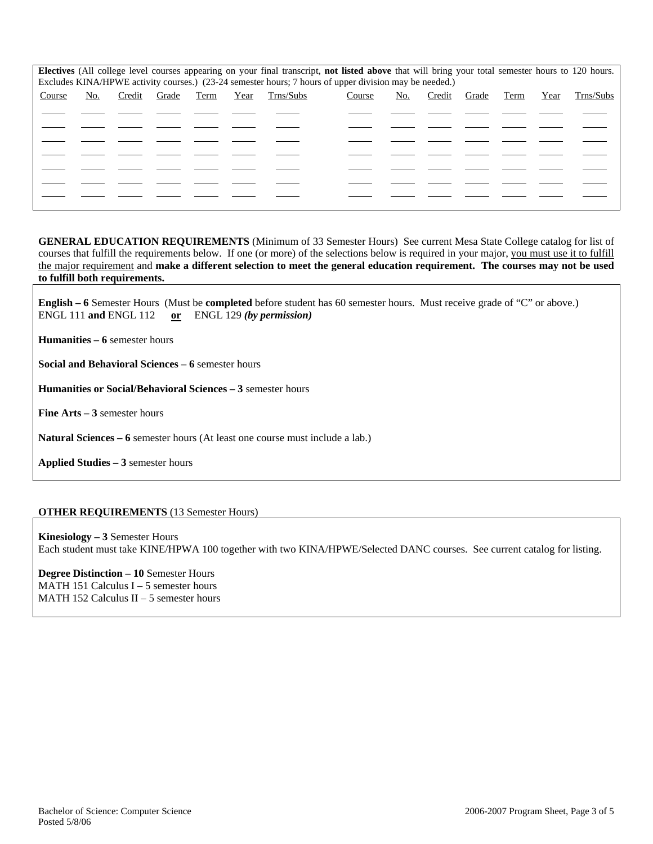|        |     |        |       |      |      |           | Electives (All college level courses appearing on your final transcript, not listed above that will bring your total semester hours to 120 hours. |     |        |       |      |      |           |
|--------|-----|--------|-------|------|------|-----------|---------------------------------------------------------------------------------------------------------------------------------------------------|-----|--------|-------|------|------|-----------|
|        |     |        |       |      |      |           | Excludes KINA/HPWE activity courses.) (23-24 semester hours; 7 hours of upper division may be needed.)                                            |     |        |       |      |      |           |
|        |     |        |       |      |      |           |                                                                                                                                                   |     |        |       |      |      |           |
| Course | No. | Credit | Grade | Term | Year | Trns/Subs | Course                                                                                                                                            | No. | Credit | Grade | Term | Year | Trns/Subs |
|        |     |        |       |      |      |           |                                                                                                                                                   |     |        |       |      |      |           |
|        |     |        |       |      |      |           |                                                                                                                                                   |     |        |       |      |      |           |
|        |     |        |       |      |      |           |                                                                                                                                                   |     |        |       |      |      |           |
|        |     |        |       |      |      |           |                                                                                                                                                   |     |        |       |      |      |           |
|        |     |        |       |      |      |           |                                                                                                                                                   |     |        |       |      |      |           |
|        |     |        |       |      |      |           |                                                                                                                                                   |     |        |       |      |      |           |
|        |     |        |       |      |      |           |                                                                                                                                                   |     |        |       |      |      |           |
|        |     |        |       |      |      |           |                                                                                                                                                   |     |        |       |      |      |           |
|        |     |        |       |      |      |           |                                                                                                                                                   |     |        |       |      |      |           |
|        |     |        |       |      |      |           |                                                                                                                                                   |     |        |       |      |      |           |
|        |     |        |       |      |      |           |                                                                                                                                                   |     |        |       |      |      |           |
|        |     |        |       |      |      |           |                                                                                                                                                   |     |        |       |      |      |           |

**GENERAL EDUCATION REQUIREMENTS** (Minimum of 33 Semester Hours) See current Mesa State College catalog for list of courses that fulfill the requirements below. If one (or more) of the selections below is required in your major, you must use it to fulfill the major requirement and **make a different selection to meet the general education requirement. The courses may not be used to fulfill both requirements.**

**English – 6** Semester Hours (Must be **completed** before student has 60 semester hours. Must receive grade of "C" or above.) ENGL 111 **and** ENGL 112 **or** ENGL 129 *(by permission)*

**Humanities – 6** semester hours

**Social and Behavioral Sciences – 6** semester hours

**Humanities or Social/Behavioral Sciences – 3** semester hours

**Fine Arts – 3** semester hours

**Natural Sciences – 6** semester hours (At least one course must include a lab.)

**Applied Studies – 3** semester hours

#### **OTHER REQUIREMENTS** (13 Semester Hours)

**Kinesiology – 3** Semester Hours Each student must take KINE/HPWA 100 together with two KINA/HPWE/Selected DANC courses. See current catalog for listing.

**Degree Distinction – 10** Semester Hours MATH 151 Calculus  $I - 5$  semester hours MATH 152 Calculus II – 5 semester hours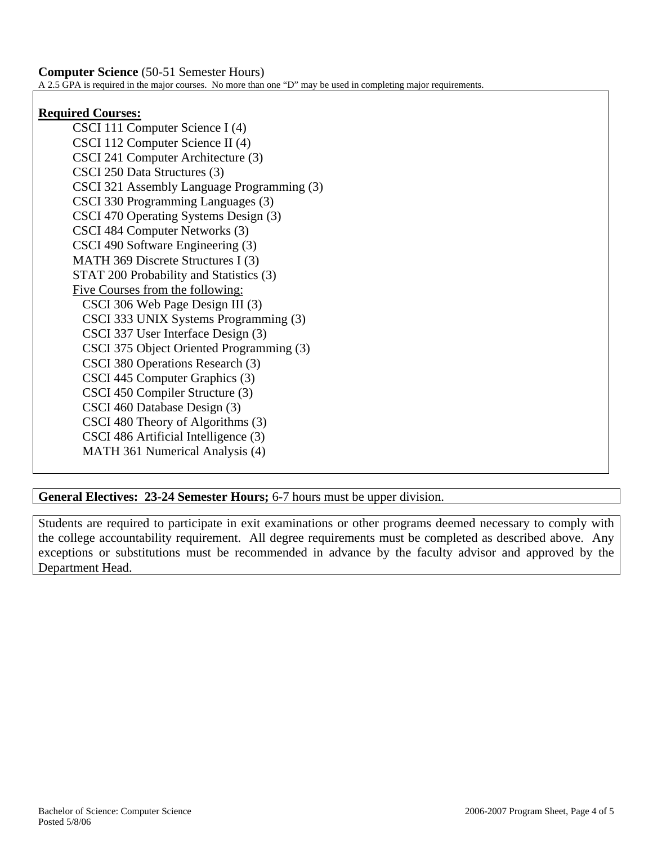**Computer Science** (50-51 Semester Hours) A 2.5 GPA is required in the major courses. No more than one "D" may be used in completing major requirements.

## **Required Courses:**

CSCI 111 Computer Science I (4) CSCI 112 Computer Science II (4) CSCI 241 Computer Architecture (3) CSCI 250 Data Structures (3) CSCI 321 Assembly Language Programming (3) CSCI 330 Programming Languages (3) CSCI 470 Operating Systems Design (3) CSCI 484 Computer Networks (3) CSCI 490 Software Engineering (3) MATH 369 Discrete Structures I (3) STAT 200 Probability and Statistics (3) Five Courses from the following: CSCI 306 Web Page Design III (3) CSCI 333 UNIX Systems Programming (3) CSCI 337 User Interface Design (3) CSCI 375 Object Oriented Programming (3) CSCI 380 Operations Research (3) CSCI 445 Computer Graphics (3) CSCI 450 Compiler Structure (3) CSCI 460 Database Design (3) CSCI 480 Theory of Algorithms (3) CSCI 486 Artificial Intelligence (3) MATH 361 Numerical Analysis (4)

**General Electives: 23-24 Semester Hours;** 6-7 hours must be upper division.

Students are required to participate in exit examinations or other programs deemed necessary to comply with the college accountability requirement. All degree requirements must be completed as described above. Any exceptions or substitutions must be recommended in advance by the faculty advisor and approved by the Department Head.